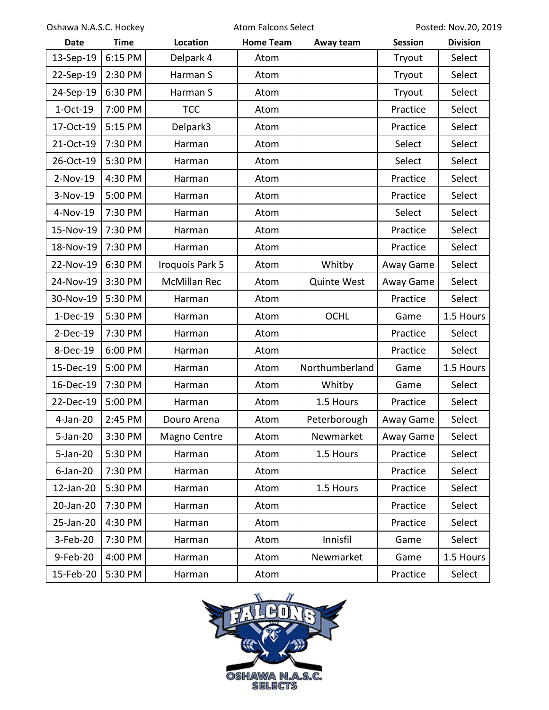Oshawa N.A.S.C. Hockey **Atom Falcons Select** Posted: Nov.20, 2019

| <b>Date</b> | <b>Time</b> | Location            | <b>Home Team</b> | <b>Away team</b>   | <b>Session</b> | <b>Division</b> |
|-------------|-------------|---------------------|------------------|--------------------|----------------|-----------------|
| 13-Sep-19   | 6:15 PM     | Delpark 4           | Atom             |                    | Tryout         | Select          |
| 22-Sep-19   | 2:30 PM     | Harman S            | Atom             |                    | Tryout         | Select          |
| 24-Sep-19   | 6:30 PM     | Harman S            | Atom             |                    | Tryout         | Select          |
| $1-Oct-19$  | 7:00 PM     | <b>TCC</b>          | Atom             |                    | Practice       | Select          |
| 17-Oct-19   | 5:15 PM     | Delpark3            | Atom             |                    | Practice       | Select          |
| 21-Oct-19   | 7:30 PM     | Harman              | Atom             |                    | Select         | Select          |
| 26-Oct-19   | 5:30 PM     | Harman              | Atom             |                    | Select         | Select          |
| 2-Nov-19    | 4:30 PM     | Harman              | Atom             |                    | Practice       | Select          |
| 3-Nov-19    | 5:00 PM     | Harman              | Atom             |                    | Practice       | Select          |
| 4-Nov-19    | 7:30 PM     | Harman              | Atom             |                    | Select         | Select          |
| 15-Nov-19   | 7:30 PM     | Harman              | Atom             |                    | Practice       | Select          |
| 18-Nov-19   | 7:30 PM     | Harman              | Atom             |                    | Practice       | Select          |
| 22-Nov-19   | 6:30 PM     | Iroquois Park 5     | Atom             | Whitby             | Away Game      | Select          |
| 24-Nov-19   | 3:30 PM     | <b>McMillan Rec</b> | Atom             | <b>Quinte West</b> | Away Game      | Select          |
| 30-Nov-19   | 5:30 PM     | Harman              | Atom             |                    | Practice       | Select          |
| $1-Dec-19$  | 5:30 PM     | Harman              | Atom             | <b>OCHL</b>        | Game           | 1.5 Hours       |
| $2-Dec-19$  | 7:30 PM     | Harman              | Atom             |                    | Practice       | Select          |
| 8-Dec-19    | 6:00 PM     | Harman              | Atom             |                    | Practice       | Select          |
| 15-Dec-19   | 5:00 PM     | Harman              | Atom             | Northumberland     | Game           | 1.5 Hours       |
| 16-Dec-19   | 7:30 PM     | Harman              | Atom             | Whitby             | Game           | Select          |
| 22-Dec-19   | 5:00 PM     | Harman              | Atom             | 1.5 Hours          | Practice       | Select          |
| 4-Jan-20    | 2:45 PM     | Douro Arena         | Atom             | Peterborough       | Away Game      | Select          |
| 5-Jan-20    | 3:30 PM     | Magno Centre        | Atom             | Newmarket          | Away Game      | Select          |
| 5-Jan-20    | 5:30 PM     | Harman              | Atom             | 1.5 Hours          | Practice       | Select          |
| $6$ -Jan-20 | 7:30 PM     | Harman              | Atom             |                    | Practice       | Select          |
| 12-Jan-20   | 5:30 PM     | Harman              | Atom             | 1.5 Hours          | Practice       | Select          |
| 20-Jan-20   | 7:30 PM     | Harman              | Atom             |                    | Practice       | Select          |
| 25-Jan-20   | 4:30 PM     | Harman              | Atom             |                    | Practice       | Select          |
| 3-Feb-20    | 7:30 PM     | Harman              | Atom             | Innisfil           | Game           | Select          |
| 9-Feb-20    | 4:00 PM     | Harman              | Atom             | Newmarket          | Game           | 1.5 Hours       |
| 15-Feb-20   | 5:30 PM     | Harman              | Atom             |                    | Practice       | Select          |